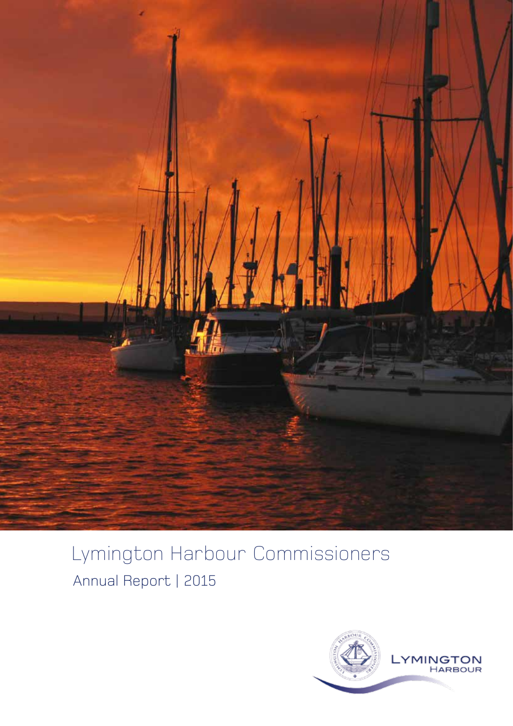

# Lymington Harbour Commissioners Annual Report | 2015

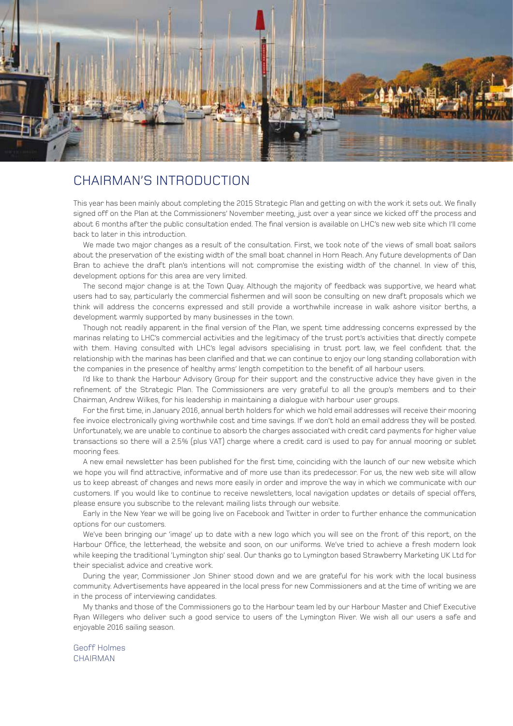

# CHAIRMAN'S INTRODUCTION

This year has been mainly about completing the 2015 Strategic Plan and getting on with the work it sets out. We finally signed off on the Plan at the Commissioners' November meeting, just over a year since we kicked off the process and about 6 months after the public consultation ended. The final version is available on LHC's new web site which I'll come back to later in this introduction.

We made two major changes as a result of the consultation. First, we took note of the views of small boat sailors about the preservation of the existing width of the small boat channel in Horn Reach. Any future developments of Dan Bran to achieve the draft plan's intentions will not compromise the existing width of the channel. In view of this, development options for this area are very limited.

The second major change is at the Town Quay. Although the majority of feedback was supportive, we heard what users had to say, particularly the commercial fishermen and will soon be consulting on new draft proposals which we think will address the concerns expressed and still provide a worthwhile increase in walk ashore visitor berths, a development warmly supported by many businesses in the town.

Though not readily apparent in the final version of the Plan, we spent time addressing concerns expressed by the marinas relating to LHC's commercial activities and the legitimacy of the trust port's activities that directly compete with them. Having consulted with LHC's legal advisors specialising in trust port law, we feel confident that the relationship with the marinas has been clarified and that we can continue to enjoy our long standing collaboration with the companies in the presence of healthy arms' length competition to the benefit of all harbour users.

I'd like to thank the Harbour Advisory Group for their support and the constructive advice they have given in the refinement of the Strategic Plan. The Commissioners are very grateful to all the group's members and to their Chairman, Andrew Wilkes, for his leadership in maintaining a dialogue with harbour user groups.

For the first time, in January 2016, annual berth holders for which we hold email addresses will receive their mooring fee invoice electronically giving worthwhile cost and time savings. If we don't hold an email address they will be posted. Unfortunately, we are unable to continue to absorb the charges associated with credit card payments for higher value transactions so there will a 2.5% (plus VAT) charge where a credit card is used to pay for annual mooring or sublet mooring fees.

A new email newsletter has been published for the first time, coinciding with the launch of our new website which we hope you will find attractive, informative and of more use than its predecessor. For us, the new web site will allow us to keep abreast of changes and news more easily in order and improve the way in which we communicate with our customers. If you would like to continue to receive newsletters, local navigation updates or details of special offers, please ensure you subscribe to the relevant mailing lists through our website.

Early in the New Year we will be going live on Facebook and Twitter in order to further enhance the communication options for our customers.

We've been bringing our 'image' up to date with a new logo which you will see on the front of this report, on the Harbour Office, the letterhead, the website and soon, on our uniforms. We've tried to achieve a fresh modern look while keeping the traditional 'Lymington ship' seal. Our thanks go to Lymington based Strawberry Marketing UK Ltd for their specialist advice and creative work.

During the year, Commissioner Jon Shiner stood down and we are grateful for his work with the local business community. Advertisements have appeared in the local press for new Commissioners and at the time of writing we are in the process of interviewing candidates.

My thanks and those of the Commissioners go to the Harbour team led by our Harbour Master and Chief Executive Ryan Willegers who deliver such a good service to users of the Lymington River. We wish all our users a safe and enjoyable 2016 sailing season.

Geoff Holmes **CHAIRMAN**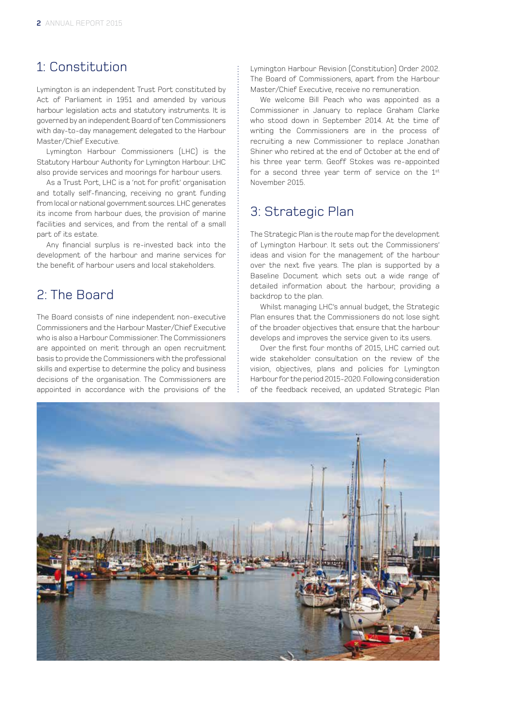# 1: Constitution

Lymington is an independent Trust Port constituted by Act of Parliament in 1951 and amended by various harbour legislation acts and statutory instruments. It is governed by an independent Board of ten Commissioners with day-to-day management delegated to the Harbour Master/Chief Executive.

Lymington Harbour Commissioners (LHC) is the Statutory Harbour Authority for Lymington Harbour. LHC also provide services and moorings for harbour users.

As a Trust Port, LHC is a 'not for profit' organisation and totally self-financing, receiving no grant funding from local or national government sources. LHC generates its income from harbour dues, the provision of marine facilities and services, and from the rental of a small part of its estate.

Any financial surplus is re-invested back into the development of the harbour and marine services for the benefit of harbour users and local stakeholders.

# 2: The Board

The Board consists of nine independent non-executive Commissioners and the Harbour Master/Chief Executive who is also a Harbour Commissioner. The Commissioners are appointed on merit through an open recruitment basis to provide the Commissioners with the professional skills and expertise to determine the policy and business decisions of the organisation. The Commissioners are appointed in accordance with the provisions of the

Lymington Harbour Revision (Constitution) Order 2002. The Board of Commissioners, apart from the Harbour Master/Chief Executive, receive no remuneration.

We welcome Bill Peach who was appointed as a Commissioner in January to replace Graham Clarke who stood down in September 2014. At the time of writing the Commissioners are in the process of recruiting a new Commissioner to replace Jonathan Shiner who retired at the end of October at the end of his three year term. Geoff Stokes was re-appointed for a second three year term of service on the 1st November 2015.

# 3: Strategic Plan

The Strategic Plan is the route map for the development of Lymington Harbour. It sets out the Commissioners' ideas and vision for the management of the harbour over the next five years. The plan is supported by a Baseline Document which sets out a wide range of detailed information about the harbour, providing a backdrop to the plan.

Whilst managing LHC's annual budget, the Strategic Plan ensures that the Commissioners do not lose sight of the broader objectives that ensure that the harbour develops and improves the service given to its users.

Over the first four months of 2015, LHC carried out wide stakeholder consultation on the review of the vision, objectives, plans and policies for Lymington Harbour for the period 2015-2020. Following consideration of the feedback received, an updated Strategic Plan

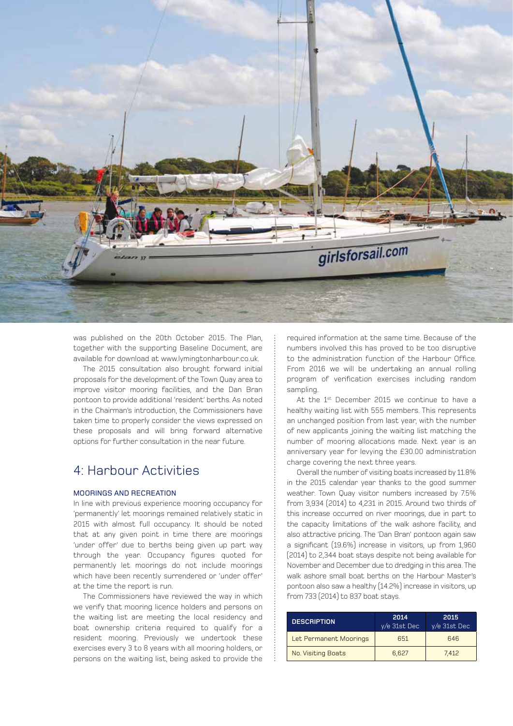

was published on the 20th October 2015. The Plan, together with the supporting Baseline Document, are available for download at www.lymingtonharbour.co.uk.

The 2015 consultation also brought forward initial proposals for the development of the Town Quay area to improve visitor mooring facilities, and the Dan Bran pontoon to provide additional 'resident' berths. As noted in the Chairman's introduction, the Commissioners have taken time to properly consider the views expressed on these proposals and will bring forward alternative options for further consultation in the near future.

# 4: Harbour Activities

# MOORINGS AND RECREATION

In line with previous experience mooring occupancy for 'permanently' let moorings remained relatively static in 2015 with almost full occupancy. It should be noted that at any given point in time there are moorings 'under offer' due to berths being given up part way through the year. Occupancy figures quoted for permanently let moorings do not include moorings which have been recently surrendered or 'under offer' at the time the report is run.

The Commissioners have reviewed the way in which we verify that mooring licence holders and persons on the waiting list are meeting the local residency and boat ownership criteria required to qualify for a resident mooring. Previously we undertook these exercises every 3 to 8 years with all mooring holders, or persons on the waiting list, being asked to provide the

required information at the same time. Because of the numbers involved this has proved to be too disruptive to the administration function of the Harbour Office. From 2016 we will be undertaking an annual rolling program of verification exercises including random sampling.

At the 1<sup>st</sup> December 2015 we continue to have a healthy waiting list with 555 members. This represents an unchanged position from last year, with the number of new applicants joining the waiting list matching the number of mooring allocations made. Next year is an anniversary year for levying the £30.00 administration charge covering the next three years.

Overall the number of visiting boats increased by 11.8% in the 2015 calendar year thanks to the good summer weather. Town Quay visitor numbers increased by 7.5% from 3,934 (2014) to 4,231 in 2015. Around two thirds of this increase occurred on river moorings, due in part to the capacity limitations of the walk ashore facility, and also attractive pricing. The 'Dan Bran' pontoon again saw a significant (19.6%) increase in visitors, up from 1,960 (2014) to 2,344 boat stays despite not being available for November and December due to dredging in this area. The walk ashore small boat berths on the Harbour Master's pontoon also saw a healthy (14.2%) increase in visitors, up from 733 (2014) to 837 boat stays.

| <b>DESCRIPTION</b>     | 2014<br>$v/e$ 31st Dec | 2015<br>y/e 31st Dec |
|------------------------|------------------------|----------------------|
| Let Permanent Moorings | 651                    | 646                  |
| No. Visiting Boats     | 6.627                  | 7.412                |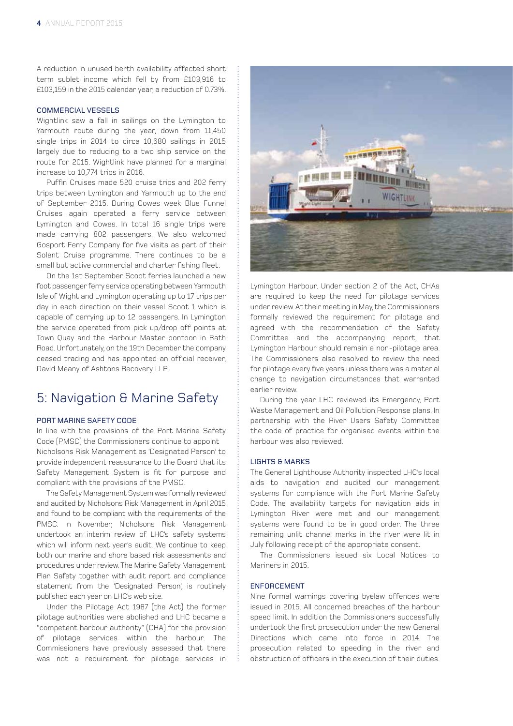A reduction in unused berth availability affected short term sublet income which fell by from £103,916 to £103,159 in the 2015 calendar year, a reduction of 0.73%.

#### COMMERCIAL VESSELS

Wightlink saw a fall in sailings on the Lymington to Yarmouth route during the year, down from 11,450 single trips in 2014 to circa 10,680 sailings in 2015 largely due to reducing to a two ship service on the route for 2015. Wightlink have planned for a marginal increase to 10,774 trips in 2016.

Puffin Cruises made 520 cruise trips and 202 ferry trips between Lymington and Yarmouth up to the end of September 2015. During Cowes week Blue Funnel Cruises again operated a ferry service between Lymington and Cowes. In total 16 single trips were made carrying 802 passengers. We also welcomed Gosport Ferry Company for five visits as part of their Solent Cruise programme. There continues to be a small but active commercial and charter fishing fleet.

On the 1st September Scoot ferries launched a new foot passenger ferry service operating between Yarmouth Isle of Wight and Lymington operating up to 17 trips per day in each direction on their vessel Scoot 1 which is capable of carrying up to 12 passengers. In Lymington the service operated from pick up/drop off points at Town Quay and the Harbour Master pontoon in Bath Road. Unfortunately, on the 19th December the company ceased trading and has appointed an official receiver, David Meany of Ashtons Recovery LLP.

# 5: Navigation & Marine Safety

# PORT MARINE SAFETY CODE

In line with the provisions of the Port Marine Safety Code (PMSC) the Commissioners continue to appoint Nicholsons Risk Management as 'Designated Person' to provide independent reassurance to the Board that its Safety Management System is fit for purpose and compliant with the provisions of the PMSC.

The Safety Management System was formally reviewed and audited by Nicholsons Risk Management in April 2015 and found to be compliant with the requirements of the PMSC. In November, Nicholsons Risk Management undertook an interim review of LHC's safety systems which will inform next year's audit. We continue to keep both our marine and shore based risk assessments and procedures under review. The Marine Safety Management Plan Safety together with audit report and compliance statement from the 'Designated Person', is routinely published each year on LHC's web site.

Under the Pilotage Act 1987 (the Act) the former pilotage authorities were abolished and LHC became a "competent harbour authority" (CHA) for the provision of pilotage services within the harbour. The Commissioners have previously assessed that there was not a requirement for pilotage services in



Lymington Harbour. Under section 2 of the Act, CHAs are required to keep the need for pilotage services under review. At their meeting in May, the Commissioners formally reviewed the requirement for pilotage and agreed with the recommendation of the Safety Committee and the accompanying report, that Lymington Harbour should remain a non-pilotage area. The Commissioners also resolved to review the need for pilotage every five years unless there was a material change to navigation circumstances that warranted earlier review.

During the year LHC reviewed its Emergency, Port Waste Management and Oil Pollution Response plans. In partnership with the River Users Safety Committee the code of practice for organised events within the harbour was also reviewed.

### LIGHTS & MARKS

The General Lighthouse Authority inspected LHC's local aids to navigation and audited our management systems for compliance with the Port Marine Safety Code. The availability targets for navigation aids in Lymington River were met and our management systems were found to be in good order. The three remaining unlit channel marks in the river were lit in July following receipt of the appropriate consent.

The Commissioners issued six Local Notices to Mariners in 2015.

### ENFORCEMENT

Nine formal warnings covering byelaw offences were issued in 2015. All concerned breaches of the harbour speed limit. In addition the Commissioners successfully undertook the first prosecution under the new General Directions which came into force in 2014. The prosecution related to speeding in the river and obstruction of officers in the execution of their duties.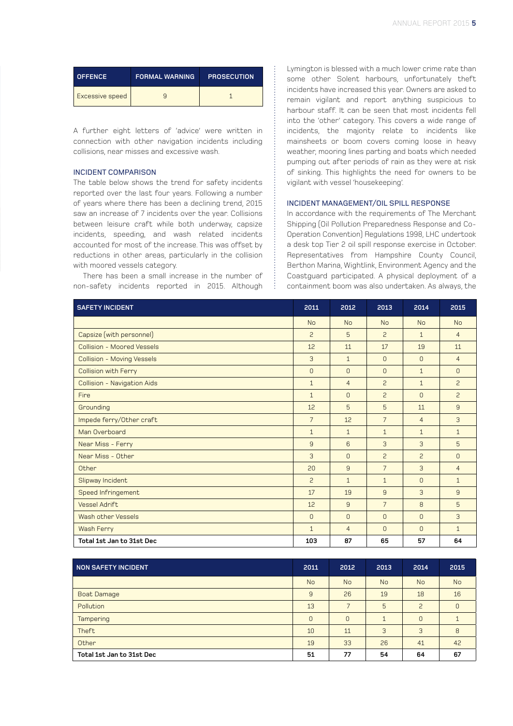| <b>OFFENCE</b>  | <b>FORMAL WARNING</b> | <b>PROSECUTION</b> |
|-----------------|-----------------------|--------------------|
| Excessive speed |                       |                    |

A further eight letters of 'advice' were written in connection with other navigation incidents including collisions, near misses and excessive wash.

### INCIDENT COMPARISON

The table below shows the trend for safety incidents reported over the last four years. Following a number of years where there has been a declining trend, 2015 saw an increase of 7 incidents over the year. Collisions between leisure craft while both underway, capsize incidents, speeding, and wash related incidents accounted for most of the increase. This was offset by reductions in other areas, particularly in the collision with moored vessels category.

There has been a small increase in the number of non-safety incidents reported in 2015. Although

Lymington is blessed with a much lower crime rate than some other Solent harbours, unfortunately theft incidents have increased this year. Owners are asked to remain vigilant and report anything suspicious to harbour staff. It can be seen that most incidents fell into the 'other' category. This covers a wide range of incidents, the majority relate to incidents like mainsheets or boom covers coming loose in heavy weather, mooring lines parting and boats which needed pumping out after periods of rain as they were at risk of sinking. This highlights the need for owners to be vigilant with vessel 'housekeeping'.

### INCIDENT MANAGEMENT/OIL SPILL RESPONSE

In accordance with the requirements of The Merchant Shipping (Oil Pollution Preparedness Response and Co-Operation Convention) Regulations 1998, LHC undertook a desk top Tier 2 oil spill response exercise in October. Representatives from Hampshire County Council, Berthon Marina, Wightlink, Environment Agency and the Coastguard participated. A physical deployment of a containment boom was also undertaken. As always, the

| <b>SAFETY INCIDENT</b>      | 2011           | 2012           | 2013           | 2014           | 2015           |
|-----------------------------|----------------|----------------|----------------|----------------|----------------|
|                             | <b>No</b>      | <b>No</b>      | <b>No</b>      | <b>No</b>      | <b>No</b>      |
| Capsize (with personnel)    | $\overline{c}$ | 5              | $\overline{c}$ | $\mathbf{1}$   | $\overline{4}$ |
| Collision - Moored Vessels  | 12             | 11             | 17             | 19             | 11             |
| Collision - Moving Vessels  | 3              | $\mathbf{1}$   | $\Omega$       | $\Omega$       | $\overline{4}$ |
| <b>Collision with Ferry</b> | $\overline{0}$ | $\Omega$       | $\Omega$       | $\mathbf{1}$   | $\overline{0}$ |
| Collision - Navigation Aids | $\mathbf{1}$   | $\overline{4}$ | $\overline{c}$ | $\mathbf{1}$   | $\overline{c}$ |
| Fire                        | $\mathbf{1}$   | $\Omega$       | $\overline{c}$ | $\Omega$       | $\overline{c}$ |
| Grounding                   | 12             | 5              | 5              | 11             | $\overline{9}$ |
| Impede ferry/Other craft    | $\overline{7}$ | 12             | $\overline{7}$ | $\overline{4}$ | 3              |
| Man Overboard               | $\mathbf{1}$   | $\mathbf{1}$   | $\mathbf{1}$   | $\mathbf{1}$   | $\mathbf{1}$   |
| Near Miss - Ferry           | 9              | 6              | 3              | 3              | 5              |
| Near Miss - Other           | 3              | $\Omega$       | $\overline{c}$ | $\overline{c}$ | $\mathbf{0}$   |
| Other                       | 20             | 9              | $\overline{7}$ | 3              | $\overline{4}$ |
| Slipway Incident            | $\overline{c}$ | $\mathbf{1}$   | $\mathbf{1}$   | $\overline{0}$ | $\mathbf{1}$   |
| Speed Infringement          | 17             | 19             | 9              | 3              | 9              |
| <b>Vessel Adrift</b>        | 12             | 9              | $\overline{7}$ | 8              | 5              |
| Wash other Vessels          | $\overline{0}$ | $\mathbf{0}$   | $\Omega$       | $\overline{0}$ | $\overline{3}$ |
| Wash Ferry                  | $\mathbf{1}$   | $\overline{4}$ | $\Omega$       | $\Omega$       | $\mathbf{1}$   |
| Total 1st Jan to 31st Dec   | 103            | 87             | 65             | 57             | 64             |

| NON SAFETY INCIDENT       | 2011           | 2012      | 2013      | 2014           | 2015           |
|---------------------------|----------------|-----------|-----------|----------------|----------------|
|                           | <b>No</b>      | <b>No</b> | <b>No</b> | <b>No</b>      | <b>No</b>      |
| <b>Boat Damage</b>        | 9              | 26        | 19        | 18             | 16             |
| Pollution                 | 13             | ⇁         | 5         | $\overline{c}$ | $\overline{0}$ |
| <b>Tampering</b>          | $\overline{0}$ | $\Omega$  |           | 0              |                |
| Theft                     | 10             | 11        | 3         | 3              | 8              |
| Other                     | 19             | 33        | 26        | 41             | 42             |
| Total 1st Jan to 31st Dec | 51             | 77        | 54        | 64             | 67             |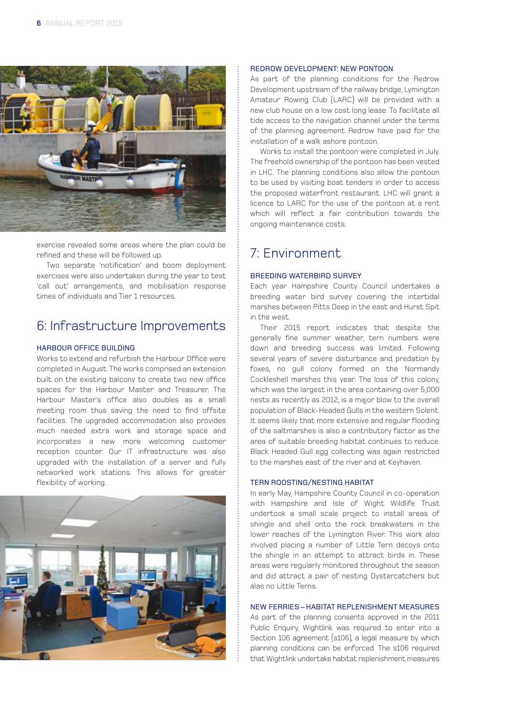

exercise revealed some areas where the plan could be refined and these will be followed up.

Two separate 'notification' and boom deployment exercises were also undertaken during the year to test 'call out' arrangements, and mobilisation response times of individuals and Tier 1 resources.

# 6: Infrastructure Improvements

#### HARBOUR OFFICE BUILDING

Works to extend and refurbish the Harbour Office were completed in August. The works comprised an extension built on the existing balcony to create two new office spaces for the Harbour Master and Treasurer. The Harbour Master's office also doubles as a small meeting room thus saving the need to find offsite facilities. The upgraded accommodation also provides much needed extra work and storage space and incorporates a new more welcoming customer reception counter. Our IT infrastructure was also upgraded with the installation of a server and fully networked work stations. This allows for greater flexibility of working.



#### REDROW DEVELOPMENT: NEW PONTOON

As part of the planning conditions for the Redrow Development upstream of the railway bridge, Lymington Amateur Rowing Club (LARC) will be provided with a new club house on a low cost long lease. To facilitate all tide access to the navigation channel under the terms of the planning agreement Redrow have paid for the installation of a walk ashore pontoon.

Works to install the pontoon were completed in July. The freehold ownership of the pontoon has been vested in LHC. The planning conditions also allow the pontoon to be used by visiting boat tenders in order to access the proposed waterfront restaurant. LHC will grant a licence to LARC for the use of the pontoon at a rent which will reflect a fair contribution towards the ongoing maintenance costs.

# 7: Environment

#### BREEDING WATERBIRD SURVEY

Each year Hampshire County Council undertakes a breeding water bird survey covering the intertidal marshes between Pitts Deep in the east and Hurst Spit in the west.

Their 2015 report indicates that despite the generally fine summer weather, tern numbers were down and breeding success was limited. Following several years of severe disturbance and predation by foxes, no gull colony formed on the Normandy Cockleshell marshes this year. The loss of this colony, which was the largest in the area containing over 5,000 nests as recently as 2012, is a major blow to the overall population of Black-Headed Gulls in the western Solent. It seems likely that more extensive and regular flooding of the saltmarshes is also a contributory factor as the area of suitable breeding habitat continues to reduce. Black Headed Gull egg collecting was again restricted to the marshes east of the river and at Keyhaven.

### TERN ROOSTING/NESTING HABITAT

In early May, Hampshire County Council in co-operation with Hampshire and Isle of Wight Wildlife Trust undertook a small scale project to install areas of shingle and shell onto the rock breakwaters in the lower reaches of the Lymington River. This work also involved placing a number of Little Tern decoys onto the shingle in an attempt to attract birds in. These areas were regularly monitored throughout the season and did attract a pair of nesting Oystercatchers but alas no Little Terns.

### NEW FERRIES – HABITAT REPLENISHMENT MEASURES

As part of the planning consents approved in the 2011 Public Enquiry, Wightlink was required to enter into a Section 106 agreement (s106), a legal measure by which planning conditions can be enforced. The s106 required that Wightlink undertake habitat replenishment measures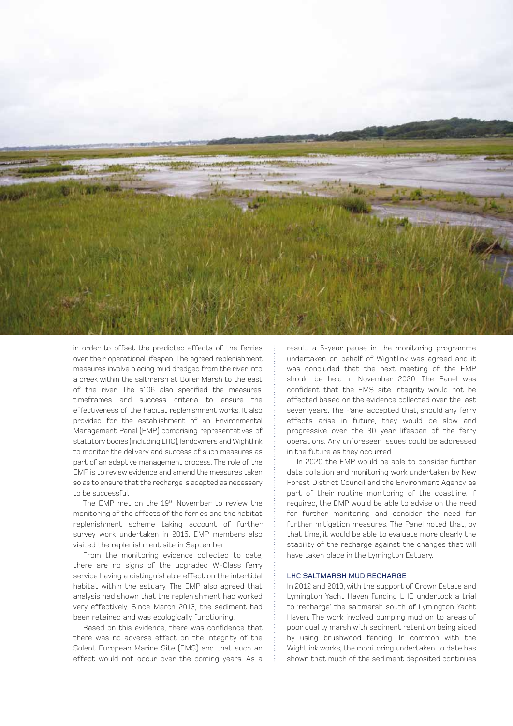

in order to offset the predicted effects of the ferries over their operational lifespan. The agreed replenishment measures involve placing mud dredged from the river into a creek within the saltmarsh at Boiler Marsh to the east of the river. The s106 also specified the measures, timeframes and success criteria to ensure the effectiveness of the habitat replenishment works. It also provided for the establishment of an Environmental Management Panel (EMP) comprising representatives of statutory bodies (including LHC), landowners and Wightlink to monitor the delivery and success of such measures as part of an adaptive management process. The role of the EMP is to review evidence and amend the measures taken so as to ensure that the recharge is adapted as necessary to be successful.

The EMP met on the 19th November to review the monitoring of the effects of the ferries and the habitat replenishment scheme taking account of further survey work undertaken in 2015. EMP members also visited the replenishment site in September.

From the monitoring evidence collected to date, there are no signs of the upgraded W-Class ferry service having a distinguishable effect on the intertidal habitat within the estuary. The EMP also agreed that analysis had shown that the replenishment had worked very effectively. Since March 2013, the sediment had been retained and was ecologically functioning.

Based on this evidence, there was confidence that there was no adverse effect on the integrity of the Solent European Marine Site (EMS) and that such an effect would not occur over the coming years. As a result, a 5-year pause in the monitoring programme undertaken on behalf of Wightlink was agreed and it was concluded that the next meeting of the EMP should be held in November 2020. The Panel was confident that the EMS site integrity would not be affected based on the evidence collected over the last seven years. The Panel accepted that, should any ferry effects arise in future, they would be slow and progressive over the 30 year lifespan of the ferry operations. Any unforeseen issues could be addressed in the future as they occurred.

In 2020 the EMP would be able to consider further data collation and monitoring work undertaken by New Forest District Council and the Environment Agency as part of their routine monitoring of the coastline. If required, the EMP would be able to advise on the need for further monitoring and consider the need for further mitigation measures. The Panel noted that, by that time, it would be able to evaluate more clearly the stability of the recharge against the changes that will have taken place in the Lymington Estuary.

#### LHC SALTMARSH MUD RECHARGE

In 2012 and 2013, with the support of Crown Estate and Lymington Yacht Haven funding LHC undertook a trial to 'recharge' the saltmarsh south of Lymington Yacht Haven. The work involved pumping mud on to areas of poor quality marsh with sediment retention being aided by using brushwood fencing. In common with the Wightlink works, the monitoring undertaken to date has shown that much of the sediment deposited continues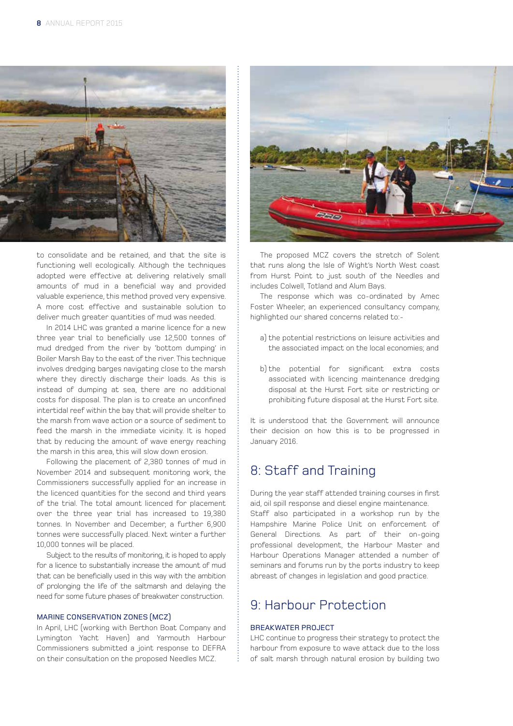

to consolidate and be retained, and that the site is functioning well ecologically. Although the techniques adopted were effective at delivering relatively small amounts of mud in a beneficial way and provided valuable experience, this method proved very expensive. A more cost effective and sustainable solution to deliver much greater quantities of mud was needed.

In 2014 LHC was granted a marine licence for a new three year trial to beneficially use 12,500 tonnes of mud dredged from the river by 'bottom dumping' in Boiler Marsh Bay to the east of the river. This technique involves dredging barges navigating close to the marsh where they directly discharge their loads. As this is instead of dumping at sea, there are no additional costs for disposal. The plan is to create an unconfined intertidal reef within the bay that will provide shelter to the marsh from wave action or a source of sediment to feed the marsh in the immediate vicinity. It is hoped that by reducing the amount of wave energy reaching the marsh in this area, this will slow down erosion.

Following the placement of 2,380 tonnes of mud in November 2014 and subsequent monitoring work, the Commissioners successfully applied for an increase in the licenced quantities for the second and third years of the trial. The total amount licenced for placement over the three year trial has increased to 19,380 tonnes. In November and December, a further 6,900 tonnes were successfully placed. Next winter a further 10,000 tonnes will be placed.

Subject to the results of monitoring, it is hoped to apply for a licence to substantially increase the amount of mud that can be beneficially used in this way with the ambition of prolonging the life of the saltmarsh and delaying the need for some future phases of breakwater construction.

## MARINE CONSERVATION ZONES (MCZ)

In April, LHC (working with Berthon Boat Company and Lymington Yacht Haven) and Yarmouth Harbour Commissioners submitted a joint response to DEFRA on their consultation on the proposed Needles MCZ.



The proposed MCZ covers the stretch of Solent that runs along the Isle of Wight's North West coast from Hurst Point to just south of the Needles and includes Colwell, Totland and Alum Bays.

The response which was co-ordinated by Amec Foster Wheeler, an experienced consultancy company, highlighted our shared concerns related to:-

- a) the potential restrictions on leisure activities and the associated impact on the local economies; and
- b) the potential for significant extra costs associated with licencing maintenance dredging disposal at the Hurst Fort site or restricting or prohibiting future disposal at the Hurst Fort site.

It is understood that the Government will announce their decision on how this is to be progressed in January 2016.

# 8: Staff and Training

During the year staff attended training courses in first aid, oil spill response and diesel engine maintenance. Staff also participated in a workshop run by the Hampshire Marine Police Unit on enforcement of General Directions. As part of their on-going professional development, the Harbour Master and Harbour Operations Manager attended a number of seminars and forums run by the ports industry to keep abreast of changes in legislation and good practice.

# 9: Harbour Protection

# BREAKWATER PROJECT

LHC continue to progress their strategy to protect the harbour from exposure to wave attack due to the loss of salt marsh through natural erosion by building two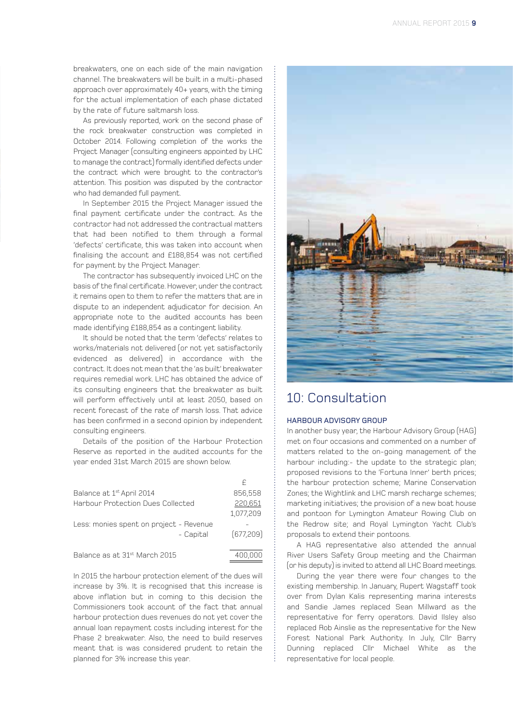breakwaters, one on each side of the main navigation channel. The breakwaters will be built in a multi-phased approach over approximately 40+ years, with the timing for the actual implementation of each phase dictated by the rate of future saltmarsh loss.

As previously reported, work on the second phase of the rock breakwater construction was completed in October 2014. Following completion of the works the Project Manager (consulting engineers appointed by LHC to manage the contract) formally identified defects under the contract which were brought to the contractor's attention. This position was disputed by the contractor who had demanded full payment.

In September 2015 the Project Manager issued the final payment certificate under the contract. As the contractor had not addressed the contractual matters that had been notified to them through a formal 'defects' certificate, this was taken into account when finalising the account and £188,854 was not certified for payment by the Project Manager.

The contractor has subsequently invoiced LHC on the basis of the final certificate. However, under the contract it remains open to them to refer the matters that are in dispute to an independent adjudicator for decision. An appropriate note to the audited accounts has been made identifying £188,854 as a contingent liability.

It should be noted that the term 'defects' relates to works/materials not delivered (or not yet satisfactorily evidenced as delivered) in accordance with the contract. It does not mean that the 'as built' breakwater requires remedial work. LHC has obtained the advice of its consulting engineers that the breakwater as built will perform effectively until at least 2050, based on recent forecast of the rate of marsh loss. That advice has been confirmed in a second opinion by independent consulting engineers.

Details of the position of the Harbour Protection Reserve as reported in the audited accounts for the year ended 31st March 2015 are shown below.

| Balance at 1 <sup>st</sup> April 2014     | 856,558    |
|-------------------------------------------|------------|
| <b>Harbour Protection Dues Collected</b>  | 220,651    |
|                                           | 1,077,209  |
| Less: monies spent on project - Revenue   |            |
| - Capital                                 | (677, 209) |
|                                           |            |
| Balance as at 31 <sup>st</sup> March 2015 | 400,000    |

In 2015 the harbour protection element of the dues will increase by 3%. It is recognised that this increase is above inflation but in coming to this decision the Commissioners took account of the fact that annual harbour protection dues revenues do not yet cover the annual loan repayment costs including interest for the Phase 2 breakwater. Also, the need to build reserves meant that is was considered prudent to retain the planned for 3% increase this year.



# 10: Consultation

### HARBOUR ADVISORY GROUP

In another busy year, the Harbour Advisory Group (HAG) met on four occasions and commented on a number of matters related to the on-going management of the harbour including:- the update to the strategic plan; proposed revisions to the 'Fortuna Inner' berth prices; the harbour protection scheme; Marine Conservation Zones; the Wightlink and LHC marsh recharge schemes; marketing initiatives; the provision of a new boat house and pontoon for Lymington Amateur Rowing Club on the Redrow site; and Royal Lymington Yacht Club's proposals to extend their pontoons.

A HAG representative also attended the annual River Users Safety Group meeting and the Chairman (or his deputy) is invited to attend all LHC Board meetings.

During the year there were four changes to the existing membership. In January, Rupert Wagstaff took over from Dylan Kalis representing marina interests and Sandie James replaced Sean Millward as the representative for ferry operators. David Ilsley also replaced Rob Ainslie as the representative for the New Forest National Park Authority. In July, Cllr Barry Dunning replaced Cllr Michael White as the representative for local people.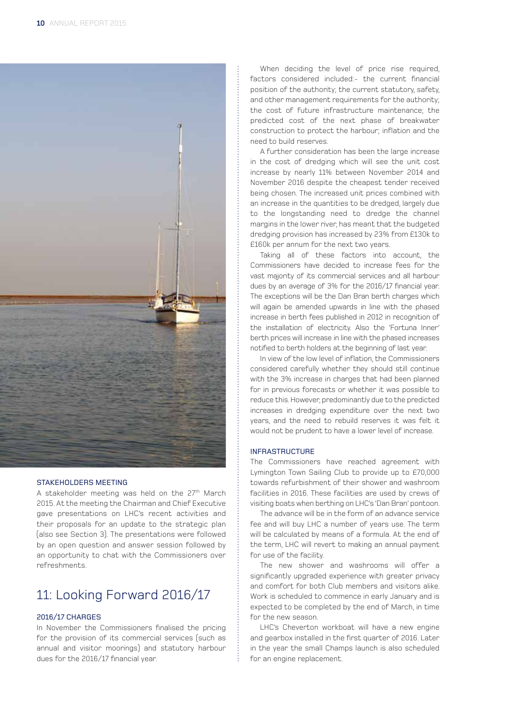

#### STAKEHOLDERS MEETING

A stakeholder meeting was held on the 27<sup>th</sup> March 2015. At the meeting the Chairman and Chief Executive gave presentations on LHC's recent activities and their proposals for an update to the strategic plan (also see Section 3). The presentations were followed by an open question and answer session followed by an opportunity to chat with the Commissioners over refreshments.

# 11: Looking Forward 2016/17

## 2016/17 CHARGES

In November the Commissioners finalised the pricing for the provision of its commercial services (such as annual and visitor moorings) and statutory harbour dues for the 2016/17 financial year.

When deciding the level of price rise required, factors considered included:- the current financial position of the authority; the current statutory, safety, and other management requirements for the authority; the cost of future infrastructure maintenance; the predicted cost of the next phase of breakwater construction to protect the harbour; inflation and the need to build reserves.

A further consideration has been the large increase in the cost of dredging which will see the unit cost increase by nearly 11% between November 2014 and November 2016 despite the cheapest tender received being chosen. The increased unit prices combined with an increase in the quantities to be dredged, largely due to the longstanding need to dredge the channel margins in the lower river, has meant that the budgeted dredging provision has increased by 23% from £130k to £160k per annum for the next two years.

Taking all of these factors into account, the Commissioners have decided to increase fees for the vast majority of its commercial services and all harbour dues by an average of 3% for the 2016/17 financial year. The exceptions will be the Dan Bran berth charges which will again be amended upwards in line with the phased increase in berth fees published in 2012 in recognition of the installation of electricity. Also the 'Fortuna Inner' berth prices will increase in line with the phased increases notified to berth holders at the beginning of last year.

In view of the low level of inflation, the Commissioners considered carefully whether they should still continue with the 3% increase in charges that had been planned for in previous forecasts or whether it was possible to reduce this. However, predominantly due to the predicted increases in dredging expenditure over the next two years, and the need to rebuild reserves it was felt it would not be prudent to have a lower level of increase.

### INFRASTRUCTURE

The Commissioners have reached agreement with Lymington Town Sailing Club to provide up to £70,000 towards refurbishment of their shower and washroom facilities in 2016. These facilities are used by crews of visiting boats when berthing on LHC's 'Dan Bran' pontoon.

The advance will be in the form of an advance service fee and will buy LHC a number of years use. The term will be calculated by means of a formula. At the end of the term, LHC will revert to making an annual payment for use of the facility.

The new shower and washrooms will offer a significantly upgraded experience with greater privacy and comfort for both Club members and visitors alike. Work is scheduled to commence in early January and is expected to be completed by the end of March, in time for the new season.

LHC's Cheverton workboat will have a new engine and gearbox installed in the first quarter of 2016. Later in the year the small Champs launch is also scheduled for an engine replacement.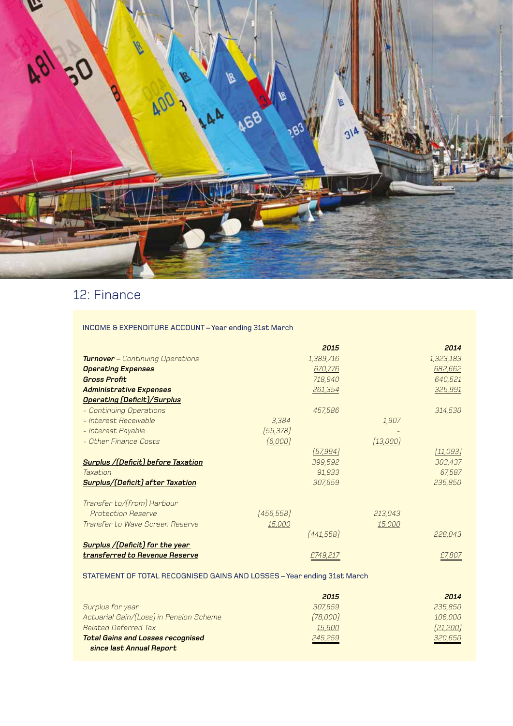

# 12: Finance

INCOME & EXPENDITURE ACCOUNT – Year ending 31st March

|                                            |            | 2015              |          | 2014      |
|--------------------------------------------|------------|-------------------|----------|-----------|
| <b>Turnover</b> - Continuing Operations    |            | 1,389,716         |          | 1,323,183 |
| <b>Operating Expenses</b>                  |            | 670,776           |          | 682,662   |
| <b>Gross Profit</b>                        |            | 718,940           |          | 640,521   |
| <b>Administrative Expenses</b>             |            | 261,354           |          | 325,991   |
| <b>Operating (Deficit)/Surplus</b>         |            |                   |          |           |
| - Continuing Operations                    |            | 457,586           |          | 314,530   |
| - Interest Receivable                      | 3,384      |                   | 1,907    |           |
| - Interest Payable                         | (55, 378)  |                   |          |           |
| - Other Finance Costs                      | (6,000)    |                   | (13,000) |           |
|                                            |            | [57, 994]         |          | (11,093)  |
| <b>Surplus / (Deficit) before Taxation</b> |            | 399,592           |          | 303,437   |
| Taxation                                   |            | 91,933            |          | 67,587    |
| Surplus/(Deficit) after Taxation           |            | 307,659           |          | 235,850   |
| Transfer to/(from) Harbour                 |            |                   |          |           |
| <b>Protection Reserve</b>                  | (456, 558) |                   | 213,043  |           |
| Transfer to Wave Screen Reserve            | 15,000     |                   | 15,000   |           |
|                                            |            | <u> (441,558)</u> |          | 228,043   |
| Surplus /(Deficit) for the year            |            |                   |          |           |
| transferred to Revenue Reserve             |            | £749,217          |          | £7,807    |

# STATEMENT OF TOTAL RECOGNISED GAINS AND LOSSES – Year ending 31st March

|                                          | 2015     | 2014      |
|------------------------------------------|----------|-----------|
| Surplus for year                         | 307.659  | 235,850   |
| Actuarial Gain/(Loss) in Pension Scheme  | (78,000) | 106,000   |
| Related Deferred Tax                     | 15,600   | [21, 200] |
| <b>Total Gains and Losses recognised</b> | 245,259  | 320,650   |
| since last Annual Report                 |          |           |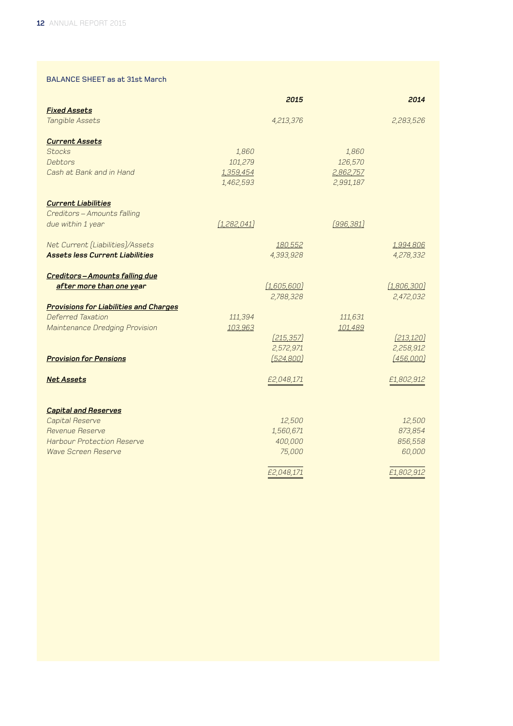# BALANCE SHEET as at 31st March

|                                               |               | 2015        |                  | 2014        |
|-----------------------------------------------|---------------|-------------|------------------|-------------|
| <b>Fixed Assets</b><br>Tangible Assets        |               | 4,213,376   |                  | 2,283,526   |
|                                               |               |             |                  |             |
| <b>Current Assets</b>                         |               |             |                  |             |
| <b>Stocks</b>                                 | 1,860         |             | 1,860            |             |
| Debtors                                       | 101,279       |             | 126,570          |             |
| Cash at Bank and in Hand                      | 1,359,454     |             | 2,862,757        |             |
|                                               | 1,462,593     |             | 2,991,187        |             |
| <b>Current Liabilities</b>                    |               |             |                  |             |
| Creditors - Amounts falling                   |               |             |                  |             |
| due within 1 year                             | (1, 282, 041) |             | <u>[996,381]</u> |             |
| Net Current (Liabilities)/Assets              |               | 180,552     |                  | 1,994,806   |
| <b>Assets less Current Liabilities</b>        |               | 4,393,928   |                  | 4,278,332   |
|                                               |               |             |                  |             |
| Creditors-Amounts falling due                 |               |             |                  |             |
| after more than one year                      |               | [1,605,600] |                  | [1,806,300] |
|                                               |               | 2,788,328   |                  | 2,472,032   |
| <b>Provisions for Liabilities and Charges</b> |               |             |                  |             |
| Deferred Taxation                             | 111,394       |             | 111,631          |             |
| Maintenance Dredging Provision                | 103,963       | [215, 357]  | 101,489          | [213, 120]  |
|                                               |               | 2,572,971   |                  | 2,258,912   |
| <b>Provision for Pensions</b>                 |               | (524, 800)  |                  | [456,000]   |
|                                               |               |             |                  |             |
| <b>Net Assets</b>                             |               | £2,048,171  |                  | £1,802,912  |
|                                               |               |             |                  |             |
| <b>Capital and Reserves</b>                   |               |             |                  |             |
| Capital Reserve                               |               | 12,500      |                  | 12,500      |
| Revenue Reserve                               |               | 1,560,671   |                  | 873,854     |
| <b>Harbour Protection Reserve</b>             |               | 400,000     |                  | 856,558     |
| Wave Screen Reserve                           |               | 75,000      |                  | 60,000      |
|                                               |               | £2,048,171  |                  | £1,802,912  |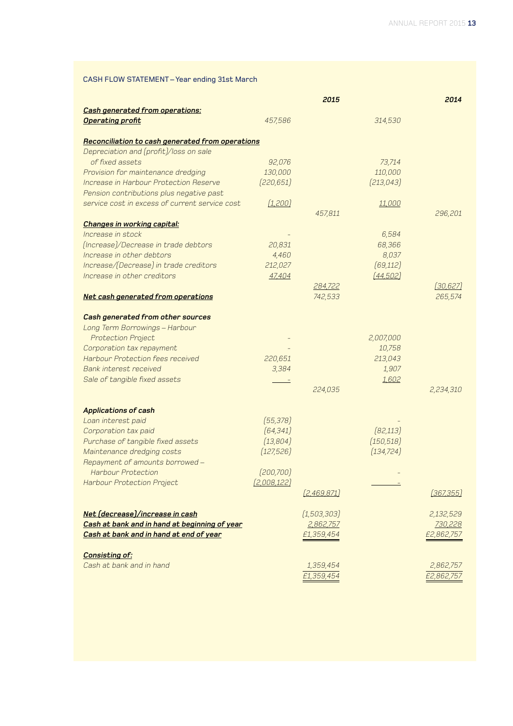# CASH FLOW STATEMENT – Year ending 31st March

|                                                  |             | 2015          |            | 2014             |
|--------------------------------------------------|-------------|---------------|------------|------------------|
| <b>Cash generated from operations:</b>           |             |               |            |                  |
| <b>Operating profit</b>                          | 457,586     |               | 314,530    |                  |
| Reconciliation to cash generated from operations |             |               |            |                  |
| Depreciation and (profit)/loss on sale           |             |               |            |                  |
| of fixed assets                                  | 92,076      |               | 73,714     |                  |
| Provision for maintenance dredging               | 130,000     |               | 110,000    |                  |
| Increase in Harbour Protection Reserve           | (220, 651)  |               | [213, 043] |                  |
| Pension contributions plus negative past         |             |               |            |                  |
| service cost in excess of current service cost   | (1, 200)    |               | 11,000     |                  |
|                                                  |             | 457,811       |            | 296,201          |
| <b>Changes in working capital:</b>               |             |               |            |                  |
| Increase in stock                                |             |               | 6,584      |                  |
| (Increase)/Decrease in trade debtors             | 20,831      |               | 68,366     |                  |
| Increase in other debtors                        | 4,460       |               | 8,037      |                  |
| Increase/(Decrease) in trade creditors           | 212,027     |               | (69, 112)  |                  |
| Increase in other creditors                      | 47,404      |               | [44,502]   |                  |
|                                                  |             | 284,722       |            | [30, 627]        |
| Net cash generated from operations               |             | 742,533       |            | 265,574          |
| Cash generated from other sources                |             |               |            |                  |
| Long Term Borrowings - Harbour                   |             |               |            |                  |
| <b>Protection Project</b>                        |             |               | 2,007,000  |                  |
| Corporation tax repayment                        |             |               | 10,758     |                  |
| <b>Harbour Protection fees received</b>          | 220,651     |               | 213,043    |                  |
| Bank interest received                           | 3,384       |               | 1,907      |                  |
| Sale of tangible fixed assets                    |             |               | 1,602      |                  |
|                                                  |             | 224,035       |            | 2,234,310        |
| <b>Applications of cash</b>                      |             |               |            |                  |
| Loan interest paid                               | (55, 378)   |               |            |                  |
| Corporation tax paid                             | [64, 341]   |               | [82, 113]  |                  |
| Purchase of tangible fixed assets                | (13, 804)   |               | (150, 518) |                  |
| Maintenance dredging costs                       | (127, 526)  |               | (134, 724) |                  |
| Repayment of amounts borrowed-                   |             |               |            |                  |
| <b>Harbour Protection</b>                        | (200, 700)  |               |            |                  |
| Harbour Protection Project                       | (2.008.122) |               |            |                  |
|                                                  |             | [2,469,871]   |            | <u>[367,355]</u> |
| Net (decrease)/increase in cash                  |             | (1, 503, 303) |            | 2,132,529        |
| Cash at bank and in hand at beginning of year    |             | 2,862,757     |            | 730,228          |
| Cash at bank and in hand at end of year          |             | £1,359,454    |            | £2,862,757       |
| <b>Consisting of:</b>                            |             |               |            |                  |
| Cash at bank and in hand                         |             | 1,359,454     |            | 2,862,757        |
|                                                  |             | £1,359,454    |            | £2,862,757       |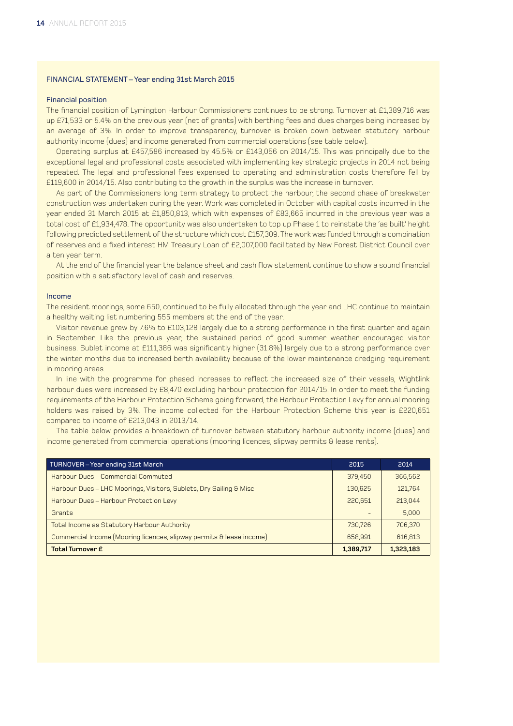### FINANCIAL STATEMENT – Year ending 31st March 2015

### Financial position

The financial position of Lymington Harbour Commissioners continues to be strong. Turnover at £1,389,716 was up £71,533 or 5.4% on the previous year (net of grants) with berthing fees and dues charges being increased by an average of 3%. In order to improve transparency, turnover is broken down between statutory harbour authority income (dues) and income generated from commercial operations (see table below).

Operating surplus at £457,586 increased by 45.5% or £143,056 on 2014/15. This was principally due to the exceptional legal and professional costs associated with implementing key strategic projects in 2014 not being repeated. The legal and professional fees expensed to operating and administration costs therefore fell by £119,600 in 2014/15. Also contributing to the growth in the surplus was the increase in turnover.

As part of the Commissioners long term strategy to protect the harbour, the second phase of breakwater construction was undertaken during the year. Work was completed in October with capital costs incurred in the year ended 31 March 2015 at £1,850,813, which with expenses of £83,665 incurred in the previous year was a total cost of £1,934,478. The opportunity was also undertaken to top up Phase 1 to reinstate the 'as built' height following predicted settlement of the structure which cost £157,309. The work was funded through a combination of reserves and a fixed interest HM Treasury Loan of £2,007,000 facilitated by New Forest District Council over a ten year term.

At the end of the financial year the balance sheet and cash flow statement continue to show a sound financial position with a satisfactory level of cash and reserves.

#### Income

The resident moorings, some 650, continued to be fully allocated through the year and LHC continue to maintain a healthy waiting list numbering 555 members at the end of the year.

Visitor revenue grew by 7.6% to £103,128 largely due to a strong performance in the first quarter and again in September. Like the previous year, the sustained period of good summer weather encouraged visitor business. Sublet income at £111,386 was significantly higher (31.8%) largely due to a strong performance over the winter months due to increased berth availability because of the lower maintenance dredging requirement in mooring areas.

In line with the programme for phased increases to reflect the increased size of their vessels, Wightlink harbour dues were increased by £8,470 excluding harbour protection for 2014/15. In order to meet the funding requirements of the Harbour Protection Scheme going forward, the Harbour Protection Levy for annual mooring holders was raised by 3%. The income collected for the Harbour Protection Scheme this year is £220,651 compared to income of £213,043 in 2013/14.

The table below provides a breakdown of turnover between statutory harbour authority income (dues) and income generated from commercial operations (mooring licences, slipway permits & lease rents).

| TURNOVER-Year ending 31st March                                      | 2015      | 2014      |
|----------------------------------------------------------------------|-----------|-----------|
| Harbour Dues – Commercial Commuted                                   | 379.450   | 366,562   |
| Harbour Dues - LHC Moorings, Visitors, Sublets, Dry Sailing & Misc   | 130.625   | 121.764   |
| Harbour Dues - Harbour Protection Levy                               | 220,651   | 213,044   |
| Grants                                                               |           | 5,000     |
| Total Income as Statutory Harbour Authority                          | 730.726   | 706,370   |
| Commercial Income (Mooring licences, slipway permits & lease income) | 658,991   | 616,813   |
| <b>Total Turnover £</b>                                              | 1,389,717 | 1,323,183 |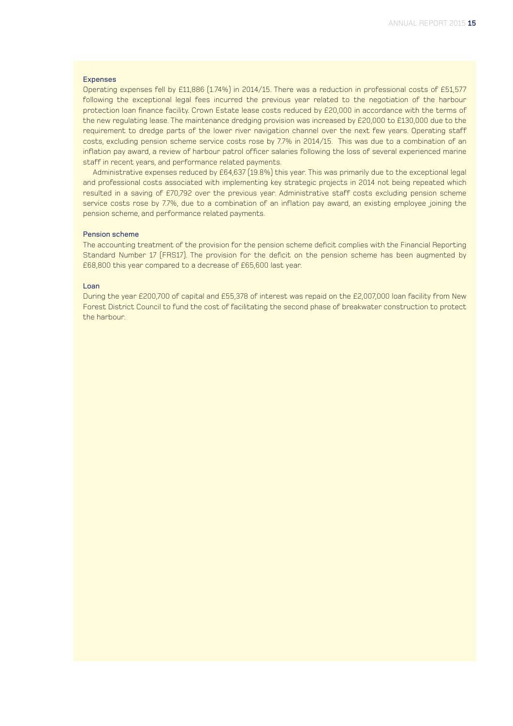### Expenses

Operating expenses fell by £11,886 (1.74%) in 2014/15. There was a reduction in professional costs of £51,577 following the exceptional legal fees incurred the previous year related to the negotiation of the harbour protection loan finance facility. Crown Estate lease costs reduced by £20,000 in accordance with the terms of the new regulating lease. The maintenance dredging provision was increased by £20,000 to £130,000 due to the requirement to dredge parts of the lower river navigation channel over the next few years. Operating staff costs, excluding pension scheme service costs rose by 7.7% in 2014/15. This was due to a combination of an inflation pay award, a review of harbour patrol officer salaries following the loss of several experienced marine staff in recent years, and performance related payments.

Administrative expenses reduced by £64,637 (19.8%) this year. This was primarily due to the exceptional legal and professional costs associated with implementing key strategic projects in 2014 not being repeated which resulted in a saving of £70,792 over the previous year. Administrative staff costs excluding pension scheme service costs rose by 7.7%, due to a combination of an inflation pay award, an existing employee joining the pension scheme, and performance related payments.

### Pension scheme

The accounting treatment of the provision for the pension scheme deficit complies with the Financial Reporting Standard Number 17 (FRS17). The provision for the deficit on the pension scheme has been augmented by £68,800 this year compared to a decrease of £65,600 last year.

### Loan

During the year £200,700 of capital and £55,378 of interest was repaid on the £2,007,000 loan facility from New Forest District Council to fund the cost of facilitating the second phase of breakwater construction to protect the harbour.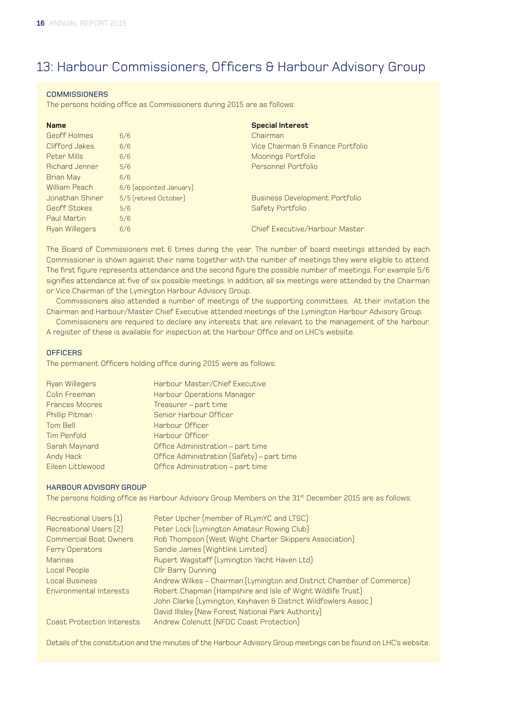# 13: Harbour Commissioners, Officers & Harbour Advisory Group

### **COMMISSIONERS**

The persons holding office as Commissioners during 2015 are as follows:

| <b>Name</b>           |                         | <b>Special Interest</b>               |
|-----------------------|-------------------------|---------------------------------------|
| Geoff Holmes          | 6/6                     | Chairman                              |
| Clifford Jakes        | 6/6                     | Vice Chairman & Finance Portfolio     |
| Peter Mills           | 6/6                     | Moorings Portfolio                    |
| <b>Bichard Jenner</b> | 5/6                     | Personnel Portfolio                   |
| <b>Brian May</b>      | 6/6                     |                                       |
| William Peach         | 6/6 (appointed January) |                                       |
| Jonathan Shiner       | 5/5 (retired October)   | <b>Business Development Portfolio</b> |
| Geoff Stokes          | 5/6                     | Safety Portfolio                      |
| Paul Martin           | 5/6                     |                                       |
| <b>Ryan Willegers</b> | 6/6                     | Chief Executive/Harbour Master        |

The Board of Commissioners met 6 times during the year. The number of board meetings attended by each Commissioner is shown against their name together with the number of meetings they were eligible to attend. The first figure represents attendance and the second figure the possible number of meetings. For example 5/6 signifies attendance at five of six possible meetings. In addition, all six meetings were attended by the Chairman or Vice Chairman of the Lymington Harbour Advisory Group.

Commissioners also attended a number of meetings of the supporting committees. At their invitation the Chairman and Harbour/Master Chief Executive attended meetings of the Lymington Harbour Advisory Group.

Commissioners are required to declare any interests that are relevant to the management of the harbour. A register of these is available for inspection at the Harbour Office and on LHC's website.

### **OFFICERS**

The permanent Officers holding office during 2015 were as follows:

| Harbour Master/Chief Executive             |
|--------------------------------------------|
| Harbour Operations Manager                 |
| Treasurer - part time                      |
| Senior Harbour Officer                     |
| Harbour Officer                            |
| Harbour Officer                            |
| Office Administration - part time          |
| Office Administration (Safety) - part time |
| Office Administration - part time          |
|                                            |

### HARBOUR ADVISORY GROUP

The persons holding office as Harbour Advisory Group Members on the 31<sup>st</sup> December 2015 are as follows:

| Recreational Users (1)            | Peter Upcher (member of RLymYC and LTSC)                              |
|-----------------------------------|-----------------------------------------------------------------------|
| Recreational Users (2)            | Peter Lock (Lymington Amateur Rowing Club)                            |
| <b>Commercial Boat Owners</b>     | Rob Thompson (West Wight Charter Skippers Association)                |
| Ferry Operators                   | Sandie James (Wightlink Limited)                                      |
| <b>Marinas</b>                    | Rupert Wagstaff (Lymington Yacht Haven Ltd)                           |
| Local People                      | <b>Cllr Barry Dunning</b>                                             |
| <b>Local Business</b>             | Andrew Wilkes - Chairman (Lymington and District Chamber of Commerce) |
| Environmental Interests           | Robert Chapman (Hampshire and Isle of Wight Wildlife Trust)           |
|                                   | John Clarke (Lymington, Keyhaven & District Wildfowlers Assoc.)       |
|                                   | David Illsley (New Forest National Park Authority)                    |
| <b>Coast Protection Interests</b> | Andrew Colenutt (NFDC Coast Protection)                               |

Details of the constitution and the minutes of the Harbour Advisory Group meetings can be found on LHC's website.